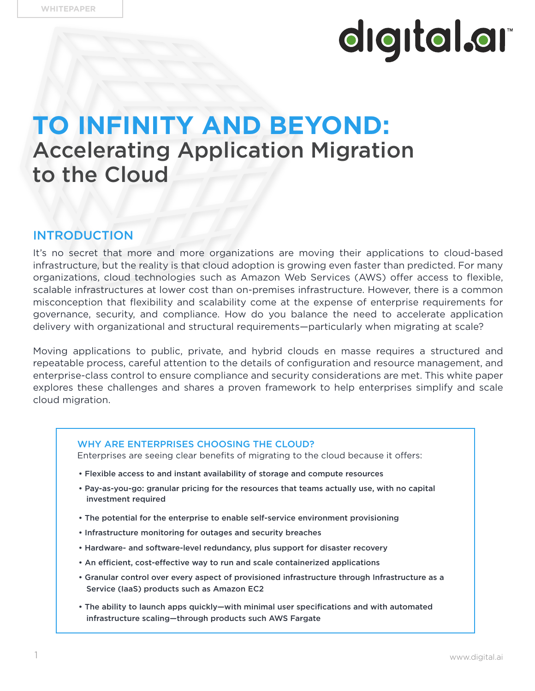### **TO INFINITY AND BEYOND:** Accelerating Application Migration to the Cloud

#### INTRODUCTION

It's no secret that more and more organizations are moving their applications to cloud-based infrastructure, but the reality is that cloud adoption is growing even faster than predicted. For many organizations, cloud technologies such as Amazon Web Services (AWS) offer access to flexible, scalable infrastructures at lower cost than on-premises infrastructure. However, there is a common misconception that flexibility and scalability come at the expense of enterprise requirements for governance, security, and compliance. How do you balance the need to accelerate application delivery with organizational and structural requirements—particularly when migrating at scale?

Moving applications to public, private, and hybrid clouds en masse requires a structured and repeatable process, careful attention to the details of configuration and resource management, and enterprise-class control to ensure compliance and security considerations are met. This white paper explores these challenges and shares a proven framework to help enterprises simplify and scale cloud migration.

#### WHY ARE ENTERPRISES CHOOSING THE CLOUD?

Enterprises are seeing clear benefits of migrating to the cloud because it offers:

- Flexible access to and instant availability of storage and compute resources
- Pay-as-you-go: granular pricing for the resources that teams actually use, with no capital investment required
- The potential for the enterprise to enable self-service environment provisioning
- Infrastructure monitoring for outages and security breaches
- Hardware- and software-level redundancy, plus support for disaster recovery
- An efficient, cost-effective way to run and scale containerized applications
- Granular control over every aspect of provisioned infrastructure through Infrastructure as a Service (IaaS) products such as Amazon EC2
- The ability to launch apps quickly—with minimal user specifications and with automated infrastructure scaling—through products such AWS Fargate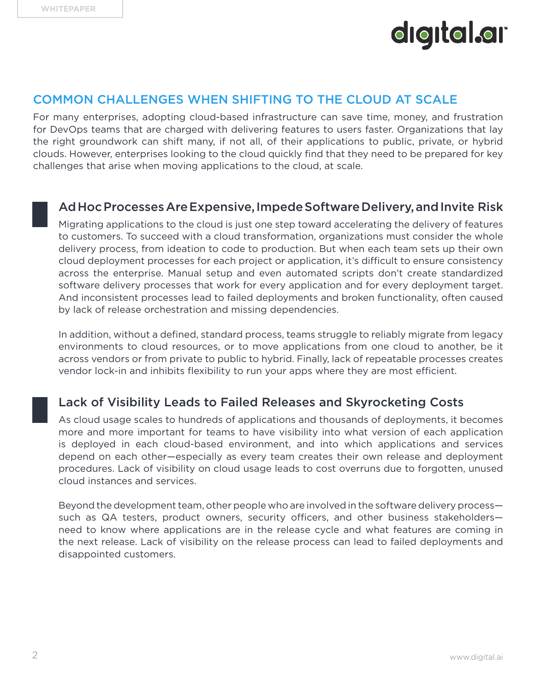

#### COMMON CHALLENGES WHEN SHIFTING TO THE CLOUD AT SCALE

For many enterprises, adopting cloud-based infrastructure can save time, money, and frustration for DevOps teams that are charged with delivering features to users faster. Organizations that lay the right groundwork can shift many, if not all, of their applications to public, private, or hybrid clouds. However, enterprises looking to the cloud quickly find that they need to be prepared for key challenges that arise when moving applications to the cloud, at scale.

#### Ad Hoc Processes Are Expensive, Impede Software Delivery, and Invite Risk

Migrating applications to the cloud is just one step toward accelerating the delivery of features to customers. To succeed with a cloud transformation, organizations must consider the whole delivery process, from ideation to code to production. But when each team sets up their own cloud deployment processes for each project or application, it's difficult to ensure consistency across the enterprise. Manual setup and even automated scripts don't create standardized software delivery processes that work for every application and for every deployment target. And inconsistent processes lead to failed deployments and broken functionality, often caused by lack of release orchestration and missing dependencies.

In addition, without a defined, standard process, teams struggle to reliably migrate from legacy environments to cloud resources, or to move applications from one cloud to another, be it across vendors or from private to public to hybrid. Finally, lack of repeatable processes creates vendor lock-in and inhibits flexibility to run your apps where they are most efficient.

#### Lack of Visibility Leads to Failed Releases and Skyrocketing Costs

As cloud usage scales to hundreds of applications and thousands of deployments, it becomes more and more important for teams to have visibility into what version of each application is deployed in each cloud-based environment, and into which applications and services depend on each other—especially as every team creates their own release and deployment procedures. Lack of visibility on cloud usage leads to cost overruns due to forgotten, unused cloud instances and services.

Beyond the development team, other people who are involved in the software delivery process such as QA testers, product owners, security officers, and other business stakeholders need to know where applications are in the release cycle and what features are coming in the next release. Lack of visibility on the release process can lead to failed deployments and disappointed customers.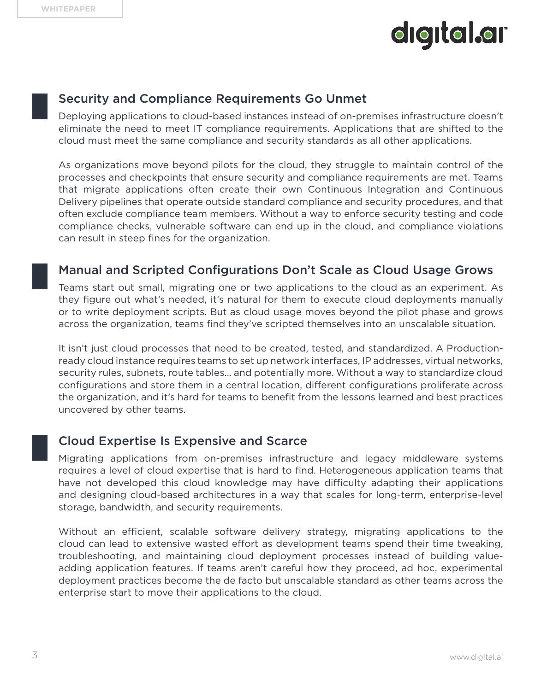#### Security and Compliance Requirements Go Unmet

Deploying applications to cloud-based instances instead of on-premises infrastructure doesn't eliminate the need to meet IT compliance requirements. Applications that are shifted to the cloud must meet the same compliance and security standards as all other applications.

As organizations move beyond pilots for the cloud, they struggle to maintain control of the processes and checkpoints that ensure security and compliance requirements are met. Teams that migrate applications often create their own Continuous Integration and Continuous Delivery pipelines that operate outside standard compliance and security procedures, and that often exclude compliance team members. Without a way to enforce security testing and code compliance checks, vulnerable software can end up in the cloud, and compliance violations can result in steep fines for the organization.

#### Manual and Scripted Configurations Don't Scale as Cloud Usage Grows

Teams start out small, migrating one or two applications to the cloud as an experiment. As they figure out what's needed, it's natural for them to execute cloud deployments manually or to write deployment scripts. But as cloud usage moves beyond the pilot phase and grows across the organization, teams find they've scripted themselves into an unscalable situation.

It isn't just cloud processes that need to be created, tested, and standardized. A Productionready cloud instance requires teams to set up network interfaces, IP addresses, virtual networks, security rules, subnets, route tables... and potentially more. Without a way to standardize cloud configurations and store them in a central location, different configurations proliferate across the organization, and it's hard for teams to benefit from the lessons learned and best practices uncovered by other teams.

#### Cloud Expertise Is Expensive and Scarce

Migrating applications from on-premises infrastructure and legacy middleware systems requires a level of cloud expertise that is hard to find. Heterogeneous application teams that have not developed this cloud knowledge may have difficulty adapting their applications and designing cloud-based architectures in a way that scales for long-term, enterprise-level storage, bandwidth, and security requirements.

Without an efficient, scalable software delivery strategy, migrating applications to the cloud can lead to extensive wasted effort as development teams spend their time tweaking, troubleshooting, and maintaining cloud deployment processes instead of building valueadding application features. If teams aren't careful how they proceed, ad hoc, experimental deployment practices become the de facto but unscalable standard as other teams across the enterprise start to move their applications to the cloud.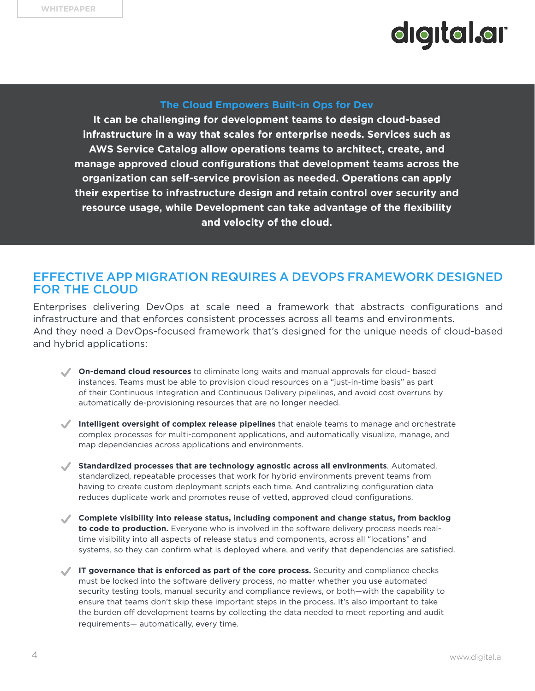#### **The Cloud Empowers Built-in Ops for Dev**

**It can be challenging for development teams to design cloud-based infrastructure in a way that scales for enterprise needs. Services such as AWS Service Catalog allow operations teams to architect, create, and manage approved cloud configurations that development teams across the organization can self-service provision as needed. Operations can apply their expertise to infrastructure design and retain control over security and resource usage, while Development can take advantage of the flexibility and velocity of the cloud.**

#### EFFECTIVE APP MIGRATION REQUIRES A DEVOPS FRAMEWORK DESIGNED FOR THE CLOUD

Enterprises delivering DevOps at scale need a framework that abstracts configurations and infrastructure and that enforces consistent processes across all teams and environments. And they need a DevOps-focused framework that's designed for the unique needs of cloud-based and hybrid applications:

- **On-demand cloud resources** to eliminate long waits and manual approvals for cloud- based instances. Teams must be able to provision cloud resources on a "just-in-time basis" as part of their Continuous Integration and Continuous Delivery pipelines, and avoid cost overruns by automatically de-provisioning resources that are no longer needed.
- **Intelligent oversight of complex release pipelines** that enable teams to manage and orchestrate complex processes for multi-component applications, and automatically visualize, manage, and map dependencies across applications and environments.
- **Standardized processes that are technology agnostic across all environments**. Automated, standardized, repeatable processes that work for hybrid environments prevent teams from having to create custom deployment scripts each time. And centralizing configuration data reduces duplicate work and promotes reuse of vetted, approved cloud configurations.
- **Complete visibility into release status, including component and change status, from backlog to code to production.** Everyone who is involved in the software delivery process needs realtime visibility into all aspects of release status and components, across all "locations" and systems, so they can confirm what is deployed where, and verify that dependencies are satisfied.
- IT governance that is enforced as part of the core process. Security and compliance checks must be locked into the software delivery process, no matter whether you use automated security testing tools, manual security and compliance reviews, or both—with the capability to ensure that teams don't skip these important steps in the process. It's also important to take the burden off development teams by collecting the data needed to meet reporting and audit requirements— automatically, every time.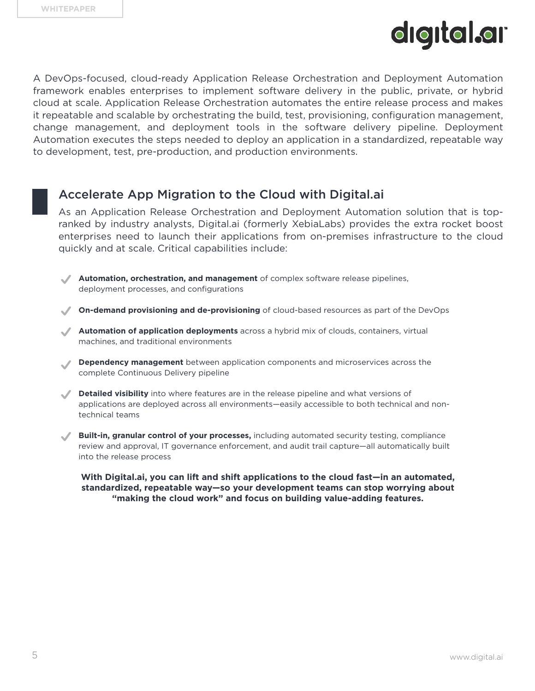A DevOps-focused, cloud-ready Application Release Orchestration and Deployment Automation framework enables enterprises to implement software delivery in the public, private, or hybrid cloud at scale. Application Release Orchestration automates the entire release process and makes it repeatable and scalable by orchestrating the build, test, provisioning, configuration management, change management, and deployment tools in the software delivery pipeline. Deployment Automation executes the steps needed to deploy an application in a standardized, repeatable way to development, test, pre-production, and production environments.

#### Accelerate App Migration to the Cloud with Digital.ai

As an Application Release Orchestration and Deployment Automation solution that is topranked by industry analysts, Digital.ai (formerly XebiaLabs) provides the extra rocket boost enterprises need to launch their applications from on-premises infrastructure to the cloud quickly and at scale. Critical capabilities include:

- **Automation, orchestration, and management** of complex software release pipelines, deployment processes, and configurations
- **On-demand provisioning and de-provisioning** of cloud-based resources as part of the DevOps
- **Automation of application deployments** across a hybrid mix of clouds, containers, virtual machines, and traditional environments
- **Dependency management** between application components and microservices across the complete Continuous Delivery pipeline
- **Detailed visibility** into where features are in the release pipeline and what versions of applications are deployed across all environments—easily accessible to both technical and nontechnical teams
- **Built-in, granular control of your processes,** including automated security testing, compliance review and approval, IT governance enforcement, and audit trail capture—all automatically built into the release process

**With Digital.ai, you can lift and shift applications to the cloud fast—in an automated, standardized, repeatable way—so your development teams can stop worrying about "making the cloud work" and focus on building value-adding features.**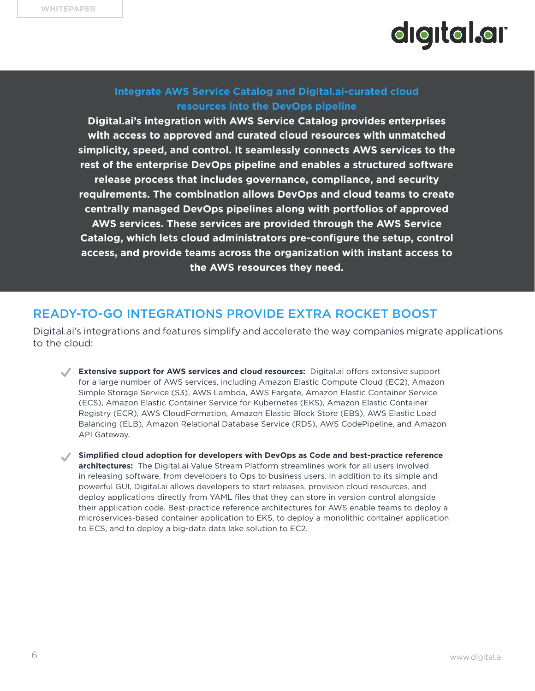#### **Integrate AWS Service Catalog and Digital.ai-curated cloud resources into the DevOps pipeline**

**Digital.ai's integration with AWS Service Catalog provides enterprises with access to approved and curated cloud resources with unmatched simplicity, speed, and control. It seamlessly connects AWS services to the rest of the enterprise DevOps pipeline and enables a structured software release process that includes governance, compliance, and security requirements. The combination allows DevOps and cloud teams to create centrally managed DevOps pipelines along with portfolios of approved AWS services. These services are provided through the AWS Service Catalog, which lets cloud administrators pre-configure the setup, control access, and provide teams across the organization with instant access to the AWS resources they need.**

#### READY-TO-GO INTEGRATIONS PROVIDE EXTRA ROCKET BOOST

Digital.ai's integrations and features simplify and accelerate the way companies migrate applications to the cloud:

- **Extensive support for AWS services and cloud resources:** Digital.ai offers extensive support for a large number of AWS services, including Amazon Elastic Compute Cloud (EC2), Amazon Simple Storage Service (S3), AWS Lambda, AWS Fargate, Amazon Elastic Container Service (ECS), Amazon Elastic Container Service for Kubernetes (EKS), Amazon Elastic Container Registry (ECR), AWS CloudFormation, Amazon Elastic Block Store (EBS), AWS Elastic Load Balancing (ELB), Amazon Relational Database Service (RDS), AWS CodePipeline, and Amazon API Gateway.
- **Simplified cloud adoption for developers with DevOps as Code and best-practice reference architectures:** The Digital.ai Value Stream Platform streamlines work for all users involved in releasing software, from developers to Ops to business users. In addition to its simple and powerful GUI, Digital.ai allows developers to start releases, provision cloud resources, and deploy applications directly from YAML files that they can store in version control alongside their application code. Best-practice reference architectures for AWS enable teams to deploy a microservices-based container application to EKS, to deploy a monolithic container application to ECS, and to deploy a big-data data lake solution to EC2.